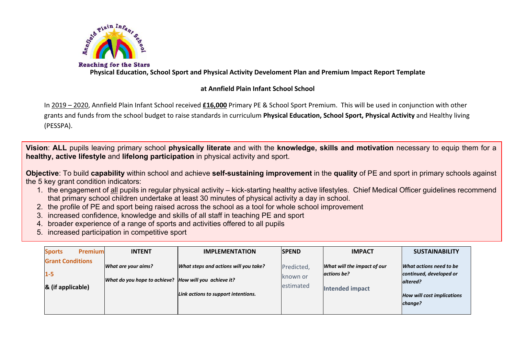

**Physical Education, School Sport and Physical Activity Develoment Plan and Premium Impact Report Template**

## **at Annfield Plain Infant School School**

In 2019 – 2020, Annfield Plain Infant School received **£16,000** Primary PE & School Sport Premium. This will be used in conjunction with other grants and funds from the school budget to raise standards in curriculum **Physical Education, School Sport, Physical Activity** and Healthy living (PESSPA).

**Vision**: **ALL** pupils leaving primary school **physically literate** and with the **knowledge, skills and motivation** necessary to equip them for a **healthy, active lifestyle** and **lifelong participation** in physical activity and sport.

**Objective**: To build **capability** within school and achieve **self-sustaining improvement** in the **quality** of PE and sport in primary schools against the 5 key grant condition indicators:

- 1. the engagement of all pupils in regular physical activity kick-starting healthy active lifestyles. Chief Medical Officer guidelines recommend that primary school children undertake at least 30 minutes of physical activity a day in school.
- 2. the profile of PE and sport being raised across the school as a tool for whole school improvement
- 3. increased confidence, knowledge and skills of all staff in teaching PE and sport
- 4. broader experience of a range of sports and activities offered to all pupils
- 5. increased participation in competitive sport

| <b>Premium</b><br><b>Sports</b>                         | <b>INTENT</b>                                                                | <b>IMPLEMENTATION</b>                                                        | <b>ISPEND</b>                       | <b>IMPACT</b>                                                        | <b>SUSTAINABILITY</b>                                                                                          |
|---------------------------------------------------------|------------------------------------------------------------------------------|------------------------------------------------------------------------------|-------------------------------------|----------------------------------------------------------------------|----------------------------------------------------------------------------------------------------------------|
| <b>Grant Conditions</b><br>$1 - 5$<br>& (if applicable) | What are your aims?<br>What do you hope to achieve? How will you achieve it? | What steps and actions will you take?<br>Link actions to support intentions. | Predicted,<br>known or<br>estimated | What will the impact of our<br>actions be?<br><b>Intended impact</b> | What actions need to be<br>continued, developed or<br>altered?<br><b>How will cost implications</b><br>change? |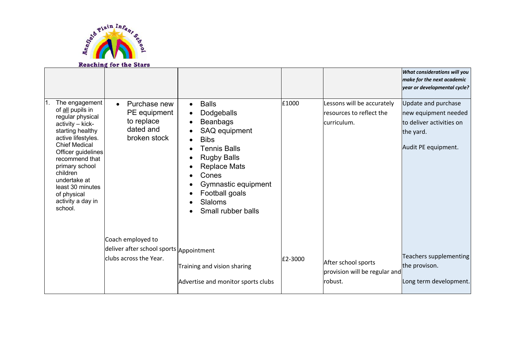

|                                                                                                                                                                                                                                                                                                       | Reaching for the Stars                                                                        |                                                                                                                                                                                                                                             |         |                                                                       |                                                                                                             |
|-------------------------------------------------------------------------------------------------------------------------------------------------------------------------------------------------------------------------------------------------------------------------------------------------------|-----------------------------------------------------------------------------------------------|---------------------------------------------------------------------------------------------------------------------------------------------------------------------------------------------------------------------------------------------|---------|-----------------------------------------------------------------------|-------------------------------------------------------------------------------------------------------------|
|                                                                                                                                                                                                                                                                                                       |                                                                                               |                                                                                                                                                                                                                                             |         |                                                                       | What considerations will you<br>make for the next academic<br>year or developmental cycle?                  |
| The engagement<br>of all pupils in<br>regular physical<br>activity - kick-<br>starting healthy<br>active lifestyles.<br><b>Chief Medical</b><br>Officer guidelines<br>recommend that<br>primary school<br>children<br>undertake at<br>least 30 minutes<br>of physical<br>activity a day in<br>school. | Purchase new<br>PE equipment<br>to replace<br>dated and<br>broken stock                       | <b>Balls</b><br>Dodgeballs<br><b>Beanbags</b><br>SAQ equipment<br><b>Bibs</b><br><b>Tennis Balls</b><br><b>Rugby Balls</b><br><b>Replace Mats</b><br>Cones<br>Gymnastic equipment<br>Football goals<br><b>Slaloms</b><br>Small rubber balls | £1000   | Lessons will be accurately<br>resources to reflect the<br>curriculum. | Update and purchase<br>new equipment needed<br>to deliver activities on<br>the yard.<br>Audit PE equipment. |
|                                                                                                                                                                                                                                                                                                       | Coach employed to<br>deliver after school sports <i>Appointment</i><br>clubs across the Year. | Training and vision sharing<br>Advertise and monitor sports clubs                                                                                                                                                                           | £2-3000 | After school sports<br>provision will be regular and<br>robust.       | Teachers supplementing<br>the provison.<br>Long term development.                                           |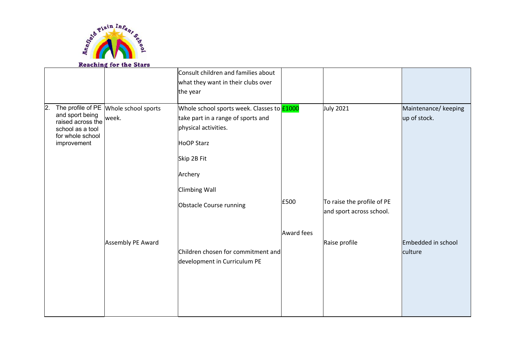

|                                                           | Reaching for the Stars                  |                                                                           |            |                                                        |                               |
|-----------------------------------------------------------|-----------------------------------------|---------------------------------------------------------------------------|------------|--------------------------------------------------------|-------------------------------|
|                                                           |                                         | Consult children and families about<br>what they want in their clubs over |            |                                                        |                               |
|                                                           |                                         | the year                                                                  |            |                                                        |                               |
| 2.<br>and sport being                                     | The profile of PE   Whole school sports | Whole school sports week. Classes to £1000                                |            | <b>July 2021</b>                                       | Maintenance/ keeping          |
| raised across the<br>school as a tool<br>for whole school | week.                                   | take part in a range of sports and<br>physical activities.                |            |                                                        | up of stock.                  |
| improvement                                               |                                         | <b>HoOP Starz</b>                                                         |            |                                                        |                               |
|                                                           |                                         | Skip 2B Fit                                                               |            |                                                        |                               |
|                                                           |                                         | Archery                                                                   |            |                                                        |                               |
|                                                           |                                         | <b>Climbing Wall</b>                                                      |            |                                                        |                               |
|                                                           |                                         | Obstacle Course running                                                   | £500       | To raise the profile of PE<br>and sport across school. |                               |
|                                                           |                                         |                                                                           | Award fees |                                                        |                               |
|                                                           | Assembly PE Award                       | Children chosen for commitment and<br>development in Curriculum PE        |            | Raise profile                                          | Embedded in school<br>culture |
|                                                           |                                         |                                                                           |            |                                                        |                               |
|                                                           |                                         |                                                                           |            |                                                        |                               |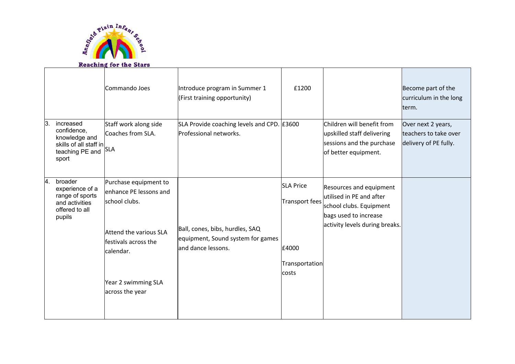

## **Reaching for the Stars**

|                                                                                                        | Commando Joes                                                                                                                                                             | Introduce program in Summer 1<br>(First training opportunity)                               | £1200                                                                  |                                                                                                                                           | Become part of the<br>curriculum in the long<br>term.                |
|--------------------------------------------------------------------------------------------------------|---------------------------------------------------------------------------------------------------------------------------------------------------------------------------|---------------------------------------------------------------------------------------------|------------------------------------------------------------------------|-------------------------------------------------------------------------------------------------------------------------------------------|----------------------------------------------------------------------|
| ΙЗ.<br>increased<br>confidence,<br>knowledge and<br>skills of all staff in<br>teaching PE and<br>sport | Staff work along side<br>Coaches from SLA.<br><b>SLA</b>                                                                                                                  | SLA Provide coaching levels and CPD. E3600<br>Professional networks.                        |                                                                        | Children will benefit from<br>upskilled staff delivering<br>sessions and the purchase<br>of better equipment.                             | Over next 2 years,<br>teachers to take over<br>delivery of PE fully. |
| 4.<br>broader<br>experience of a<br>range of sports<br>and activities<br>offered to all<br>pupils      | Purchase equipment to<br>enhance PE lessons and<br>school clubs.<br>Attend the various SLA<br>festivals across the<br>calendar.<br>Year 2 swimming SLA<br>across the year | Ball, cones, bibs, hurdles, SAQ<br>equipment, Sound system for games<br>land dance lessons. | <b>SLA Price</b><br>Transport fees<br>£4000<br>Transportation<br>costs | Resources and equipment<br>utilised in PE and after<br>school clubs. Equipment<br>bags used to increase<br>activity levels during breaks. |                                                                      |